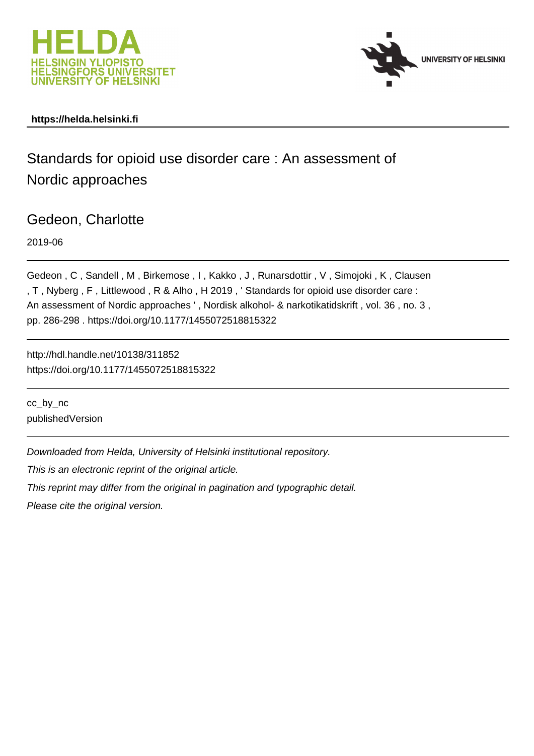



# **https://helda.helsinki.fi**

Standards for opioid use disorder care : An assessment of Nordic approaches

Gedeon, Charlotte

2019-06

Gedeon , C , Sandell , M , Birkemose , I , Kakko , J , Runarsdottir , V , Simojoki , K , Clausen , T , Nyberg , F , Littlewood , R & Alho , H 2019 , ' Standards for opioid use disorder care : An assessment of Nordic approaches ', Nordisk alkohol- & narkotikatidskrift, vol. 36, no. 3, pp. 286-298 . https://doi.org/10.1177/1455072518815322

http://hdl.handle.net/10138/311852 https://doi.org/10.1177/1455072518815322

cc\_by\_nc publishedVersion

Downloaded from Helda, University of Helsinki institutional repository.

This is an electronic reprint of the original article.

This reprint may differ from the original in pagination and typographic detail.

Please cite the original version.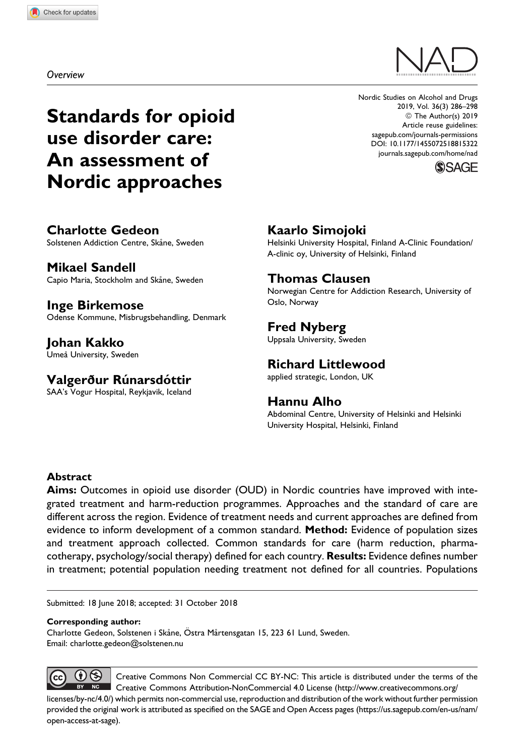Overview

# Standards for opioid use disorder care: An assessment of Nordic approaches

Nordic Studies on Alcohol and Drugs 2019, Vol. 36(3) 286–298 © The Author(s) 2019 Article reuse guidelines: [sagepub.com/journals-permissions](https://sagepub.com/journals-permissions) [DOI: 10.1177/1455072518815322](https://doi.org/10.1177/1455072518815322) [journals.sagepub.com/home/nad](http://journals.sagepub.com/home/nad)



Charlotte Gedeon Solstenen Addiction Centre, Skåne, Sweden

Mikael Sandell Capio Maria, Stockholm and Skåne, Sweden

Inge Birkemose Odense Kommune, Misbrugsbehandling, Denmark

Johan Kakko Umeå University, Sweden

Valgerður Rúnarsdóttir

SAA's Vogur Hospital, Reykjavik, Iceland

# Kaarlo Simojoki

Helsinki University Hospital, Finland A-Clinic Foundation/ A-clinic oy, University of Helsinki, Finland

### Thomas Clausen

Norwegian Centre for Addiction Research, University of Oslo, Norway

# Fred Nyberg

Uppsala University, Sweden

### Richard Littlewood

applied strategic, London, UK

### Hannu Alho

Abdominal Centre, University of Helsinki and Helsinki University Hospital, Helsinki, Finland

#### Abstract

Aims: Outcomes in opioid use disorder (OUD) in Nordic countries have improved with integrated treatment and harm-reduction programmes. Approaches and the standard of care are different across the region. Evidence of treatment needs and current approaches are defined from evidence to inform development of a common standard. Method: Evidence of population sizes and treatment approach collected. Common standards for care (harm reduction, pharmacotherapy, psychology/social therapy) defined for each country. Results: Evidence defines number in treatment; potential population needing treatment not defined for all countries. Populations

Submitted: 18 June 2018; accepted: 31 October 2018

#### Corresponding author:

Charlotte Gedeon, Solstenen i Skåne, Östra Mårtensgatan 15, 223 61 Lund, Sweden. Email: [charlotte.gedeon@solstenen.nu](mailto:charlotte.gedeon@solstenen.nu)

 $\mathbf{\Theta}$ Creative Commons Non Commercial CC BY-NC: This article is distributed under the terms of the Creative Commons Attribution-NonCommercial 4.0 License [\(http://www.creativecommons.org/](http://www.creativecommons.org/licenses/by-nc/4.0/) [licenses/by-nc/4.0/](http://www.creativecommons.org/licenses/by-nc/4.0/)) which permits non-commercial use, reproduction and distribution of the work without further permission provided the original work is attributed as specified on the SAGE and Open Access pages ([https://us.sagepub.com/en-us/nam/](https://us.sagepub.com/en-us/nam/open-access-at-sage) [open-access-at-sage](https://us.sagepub.com/en-us/nam/open-access-at-sage)).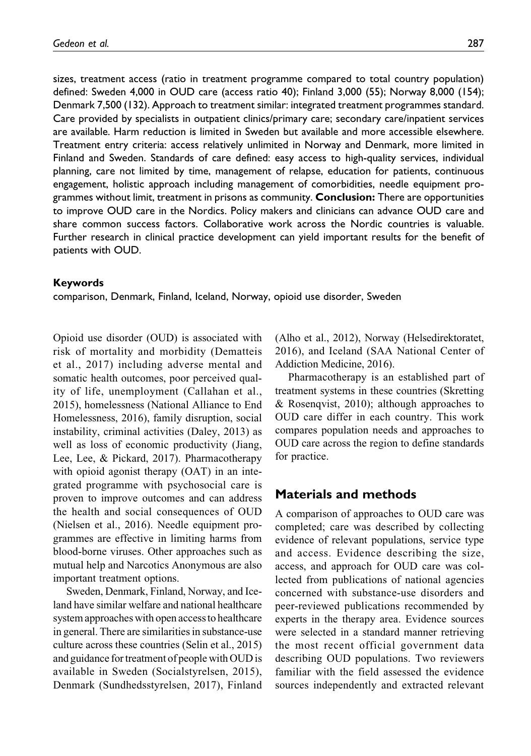sizes, treatment access (ratio in treatment programme compared to total country population) defined: Sweden 4,000 in OUD care (access ratio 40); Finland 3,000 (55); Norway 8,000 (154); Denmark 7,500 (132). Approach to treatment similar: integrated treatment programmes standard. Care provided by specialists in outpatient clinics/primary care; secondary care/inpatient services are available. Harm reduction is limited in Sweden but available and more accessible elsewhere. Treatment entry criteria: access relatively unlimited in Norway and Denmark, more limited in Finland and Sweden. Standards of care defined: easy access to high-quality services, individual planning, care not limited by time, management of relapse, education for patients, continuous engagement, holistic approach including management of comorbidities, needle equipment programmes without limit, treatment in prisons as community. **Conclusion:** There are opportunities to improve OUD care in the Nordics. Policy makers and clinicians can advance OUD care and share common success factors. Collaborative work across the Nordic countries is valuable. Further research in clinical practice development can yield important results for the benefit of patients with OUD.

#### Keywords

comparison, Denmark, Finland, Iceland, Norway, opioid use disorder, Sweden

Opioid use disorder (OUD) is associated with risk of mortality and morbidity (Dematteis et al., 2017) including adverse mental and somatic health outcomes, poor perceived quality of life, unemployment (Callahan et al., 2015), homelessness (National Alliance to End Homelessness, 2016), family disruption, social instability, criminal activities (Daley, 2013) as well as loss of economic productivity (Jiang, Lee, Lee, & Pickard, 2017). Pharmacotherapy with opioid agonist therapy (OAT) in an integrated programme with psychosocial care is proven to improve outcomes and can address the health and social consequences of OUD (Nielsen et al., 2016). Needle equipment programmes are effective in limiting harms from blood-borne viruses. Other approaches such as mutual help and Narcotics Anonymous are also important treatment options.

Sweden, Denmark, Finland, Norway, and Iceland have similar welfare and national healthcare system approaches with open accessto healthcare in general. There are similarities in substance-use culture across these countries (Selin et al., 2015) and guidance for treatment of people with OUD is available in Sweden (Socialstyrelsen, 2015), Denmark (Sundhedsstyrelsen, 2017), Finland

(Alho et al., 2012), Norway (Helsedirektoratet, 2016), and Iceland (SAA National Center of Addiction Medicine, 2016).

Pharmacotherapy is an established part of treatment systems in these countries (Skretting & Rosenqvist, 2010); although approaches to OUD care differ in each country. This work compares population needs and approaches to OUD care across the region to define standards for practice.

# Materials and methods

A comparison of approaches to OUD care was completed; care was described by collecting evidence of relevant populations, service type and access. Evidence describing the size, access, and approach for OUD care was collected from publications of national agencies concerned with substance-use disorders and peer-reviewed publications recommended by experts in the therapy area. Evidence sources were selected in a standard manner retrieving the most recent official government data describing OUD populations. Two reviewers familiar with the field assessed the evidence sources independently and extracted relevant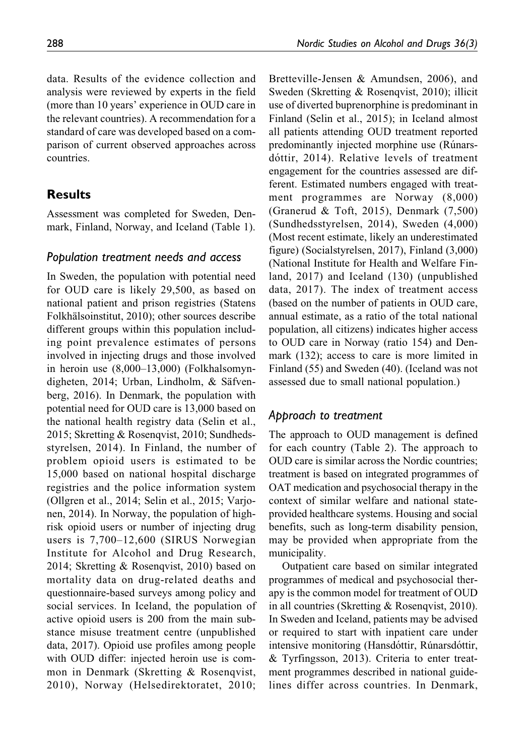data. Results of the evidence collection and analysis were reviewed by experts in the field (more than 10 years' experience in OUD care in the relevant countries). A recommendation for a standard of care was developed based on a comparison of current observed approaches across countries.

### Results

Assessment was completed for Sweden, Denmark, Finland, Norway, and Iceland (Table 1).

#### Population treatment needs and access

In Sweden, the population with potential need for OUD care is likely 29,500, as based on national patient and prison registries (Statens Folkhälsoinstitut, 2010); other sources describe different groups within this population including point prevalence estimates of persons involved in injecting drugs and those involved in heroin use (8,000–13,000) (Folkhalsomyndigheten, 2014; Urban, Lindholm, & Säfvenberg, 2016). In Denmark, the population with potential need for OUD care is 13,000 based on the national health registry data (Selin et al., 2015; Skretting & Rosenqvist, 2010; Sundhedsstyrelsen, 2014). In Finland, the number of problem opioid users is estimated to be 15,000 based on national hospital discharge registries and the police information system (Ollgren et al., 2014; Selin et al., 2015; Varjonen, 2014). In Norway, the population of highrisk opioid users or number of injecting drug users is 7,700–12,600 (SIRUS Norwegian Institute for Alcohol and Drug Research, 2014; Skretting & Rosenqvist, 2010) based on mortality data on drug-related deaths and questionnaire-based surveys among policy and social services. In Iceland, the population of active opioid users is 200 from the main substance misuse treatment centre (unpublished data, 2017). Opioid use profiles among people with OUD differ: injected heroin use is common in Denmark (Skretting & Rosenqvist, 2010), Norway (Helsedirektoratet, 2010;

Bretteville-Jensen & Amundsen, 2006), and Sweden (Skretting & Rosenqvist, 2010); illicit use of diverted buprenorphine is predominant in Finland (Selin et al., 2015); in Iceland almost all patients attending OUD treatment reported predominantly injected morphine use (Rúnarsdóttir, 2014). Relative levels of treatment engagement for the countries assessed are different. Estimated numbers engaged with treatment programmes are Norway (8,000) (Granerud & Toft, 2015), Denmark (7,500) (Sundhedsstyrelsen, 2014), Sweden (4,000) (Most recent estimate, likely an underestimated figure) (Socialstyrelsen, 2017), Finland (3,000) (National Institute for Health and Welfare Finland, 2017) and Iceland (130) (unpublished data, 2017). The index of treatment access (based on the number of patients in OUD care, annual estimate, as a ratio of the total national population, all citizens) indicates higher access to OUD care in Norway (ratio 154) and Denmark (132); access to care is more limited in Finland (55) and Sweden (40). (Iceland was not assessed due to small national population.)

#### Approach to treatment

The approach to OUD management is defined for each country (Table 2). The approach to OUD care is similar across the Nordic countries; treatment is based on integrated programmes of OAT medication and psychosocial therapy in the context of similar welfare and national stateprovided healthcare systems. Housing and social benefits, such as long-term disability pension, may be provided when appropriate from the municipality.

Outpatient care based on similar integrated programmes of medical and psychosocial therapy is the common model for treatment of OUD in all countries (Skretting & Rosenqvist, 2010). In Sweden and Iceland, patients may be advised or required to start with inpatient care under intensive monitoring (Hansdóttir, Rúnarsdóttir, & Tyrfingsson, 2013). Criteria to enter treatment programmes described in national guidelines differ across countries. In Denmark,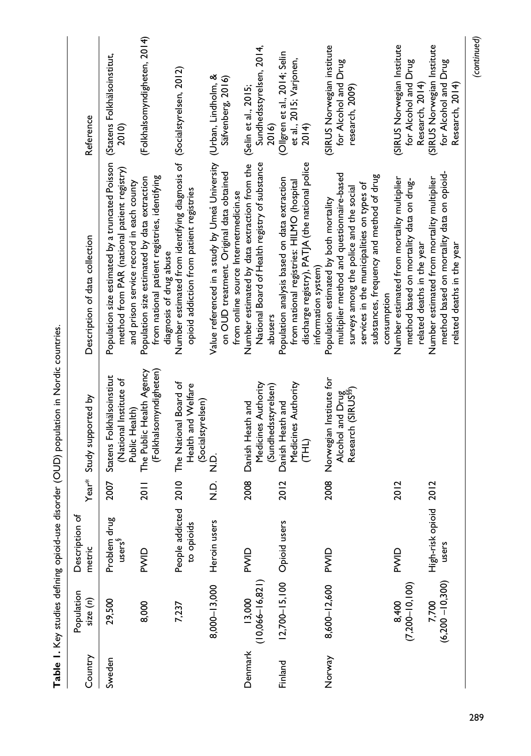| Country | Population<br>size(n)       | đ<br>Description<br>metric                   |                 | Year* Study supported by                                                       | Description of data collection                                                                                                                                                                                                          | Reference                                                             |
|---------|-----------------------------|----------------------------------------------|-----------------|--------------------------------------------------------------------------------|-----------------------------------------------------------------------------------------------------------------------------------------------------------------------------------------------------------------------------------------|-----------------------------------------------------------------------|
| Sweden  | 29,500                      | ро<br>Р<br>Problem dru<br>users <sup>§</sup> | 2007            | Statens Folkhälsoinstitut<br>(National Institute of<br>Public Health)          | Population size estimated by a truncated Poisson<br>method from PAR (national patient registry)<br>and prison service record in each county                                                                                             | (Statens Folkhälsoinstitut,<br>2010)                                  |
|         | 8,000                       | PWID                                         | $\frac{1}{20}$  | (Folkhalsomyndigheten)<br>The Public Health Agency                             | from national patient registries, identifying<br>Population size estimated by data extraction<br>diagnosis of drug abuse                                                                                                                | (Folkhalsomyndigheten, 2014)                                          |
|         | 7,237                       | People addicted<br><u>ທ</u><br>to opioid     | 2010            | The National Board of<br>Health and Welfare<br>(Socialstyrelsen)               | Number estimated from identifying diagnosis of (Socialstyrelsen, 2012)<br>opioid addiction from patient registries                                                                                                                      |                                                                       |
|         | $8,000 - 13,000$            | Heroin users                                 | Q<br>N.Q<br>C.N |                                                                                | Value referenced in a study by Umeå University (Urban, Lindholm, &<br>on OUD treatment. Original data obtained<br>from online source Internetmedicin.se                                                                                 | Säfvenberg, 2016)                                                     |
| Denmark | $13,000$<br>(10,066–16,821) | PWID                                         | 2008            | Medicines Authority<br>(Sundhedsstyrelsen)<br>Danish Heath and                 | National Board of Health registry of substance<br>Number estimated by data extraction from the<br>abusers                                                                                                                               | Sundhedsstyrelsen, 2014,<br>(Selin et al., 2015;<br>2016)             |
| Finland | $12,700 - 15,100$           | Opioid users                                 | 2012            | Medicines Authority<br>Danish Heath and<br>(HH)                                | discharge registry), PATJA (the national police<br>Population analysis based on data extraction<br>from national registries: HILMO (hospital<br>information system)                                                                     | (Ollgren et al., 2014; Selin<br>et al., 2015; Varjonen,<br>2014)      |
| Norway  | 8,600-12,600                | PWID                                         | 2008            | Norwegian Institute for<br>Alcohol and Drug<br>Research (SIRUS <sup>§§</sup> ) | multiplier method and questionnaire-based<br>substances, frequency and method of drug<br>services in the municipalities on types of<br>surveys among the police and the social<br>Population estimated by both mortality<br>consumption | (SIRUS Norwegian institute<br>for Alcohol and Drug<br>research, 2009) |
|         | $(7,200 - 10,100)$<br>8,400 | PWID                                         | 2012            |                                                                                | Number estimated from mortality multiplier<br>method based on mortality data on drug-<br>related deaths in the year                                                                                                                     | SIRUS Norwegian Institute<br>for Alcohol and Drug<br>Research, 2014)  |
|         | $(6,200 - 10,300)$<br>7,700 | High-risk opioid<br>users                    | 2012            |                                                                                | method based on mortality data on opioid-<br>Number estimated from mortality multiplier<br>related deaths in the year                                                                                                                   | (SIRUS Norwegian Institute<br>for Alcohol and Drug<br>Research, 2014) |

Table 1. Key studies defining opioid-use disorder (OUD) population in Nordic countries. Table 1. Key studies defining opioid-use disorder (OUD) population in Nordic countries.

(continued)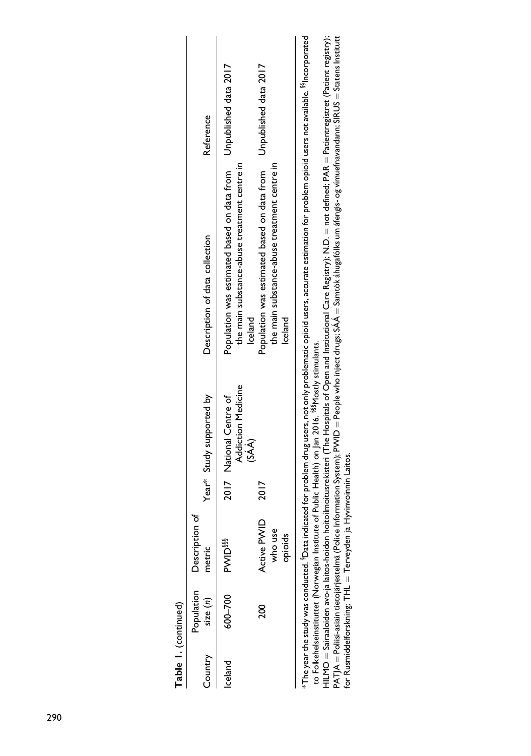| Table 1. (continued) |             |                                     |                                                                                                                 |                                                                                                                                                                                                    |                       |
|----------------------|-------------|-------------------------------------|-----------------------------------------------------------------------------------------------------------------|----------------------------------------------------------------------------------------------------------------------------------------------------------------------------------------------------|-----------------------|
| Country              | size $(n)$  | Population Description of<br>metric | Year* Study supported by                                                                                        | Description of data collection                                                                                                                                                                     | Reference             |
| Iceland              | $600 - 700$ | <b>PVVID<sup>\$\$\$</sup></b>       | Addiction Medicine<br>2017 National Centre of<br>$(SA\hat{A})$                                                  | Population was estimated based on data from Unpublished data 2017<br>the main substance-abuse treatment centre in<br><b>celand</b>                                                                 |                       |
|                      | ខ្លួ        | Active PWID<br>who use<br>opioids   |                                                                                                                 | the main substance-abuse treatment centre in<br>Population was estimated based on data from<br>Iceland                                                                                             | Unpublished data 2017 |
|                      |             |                                     | to Folkehelseinstituttet (Norwegian Institute of Public Health) on Jan 2016. <sup>\$88</sup> Mostly stimulants. | The year the study was conducted. Pata indicated for problem drug users, not only problematic opioid users, accurate estimation for problem opioid users not available. <sup>88</sup> lncorporated |                       |

to Folkehelseinstituttet (Norwegian Institute of Public Health) on Jan 2016. §§§Mostly stimulants.

HILMO = Sairaaloiden avo-ja laitos-hoidon hoitoilmoitusrekisteri (The Hospitals of Open and Institutional Care Registry); N.D. = not defined; PAR = Patientregistret (Patient registry); PATJA = Poliisi-asiain tietojärjestelmä (Police Information System); PWID = People who inject drugs; SA .<br>نما A  $=$  Samtök áhugafó $\mathsf{I}\mathsf{ks}$  um áfengis- og vímuefnavandann; SIRUS  $=$  Statens Institutt for Rusmiddelforskning; THL  $=$  Terveyden ja Hyvinvoinnin Laitos.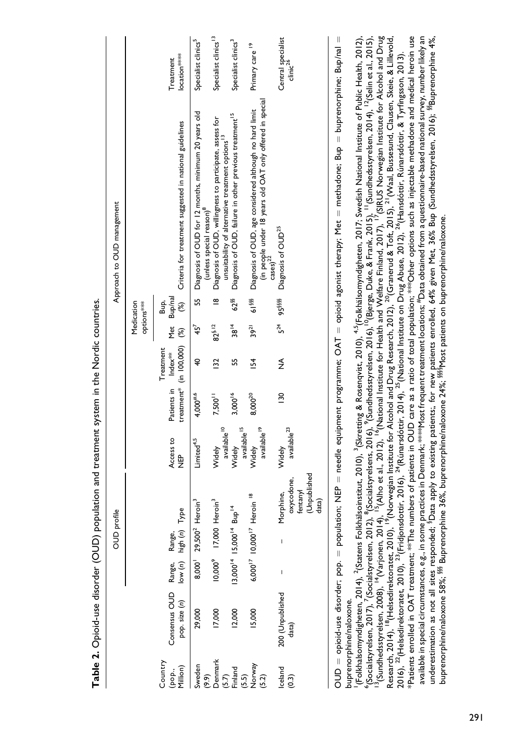Table 2. Opioid-use disorder (OUD) population and treatment system in the Nordic countries. Table 2. Opioid-use disorder (OUD) population and treatment system in the Nordic countries.

| location <sup>****</sup><br>Treatment<br>clinic <sup>26</sup><br>(in people under 18 years old OAT only offered in special<br>Diagnosis of OUD, age considered although no hard limit<br>55 Diagnosis of OUD for 12 months, minimum 20 years old<br>62 <sup>58</sup> Diagnosis of OUD, failure in other previous treatment <sup>15</sup><br>Diagnosis of OUD, willingness to participate, assess for<br>Criteria for treatment suggested in national guidelines<br>unsuitability of alternative treatment options <sup>13</sup><br>(unless special reason) <sup>8</sup><br>Diagnosis of OUD <sup>25</sup><br>$\csc)^{22}$<br>Bup/nal<br>$\frac{\infty}{\infty}$<br>61 <sup>888</sup><br>95888<br>Medication<br>غ<br>ه<br>$\mathcal{E}$<br>options***<br>$5^{24}$<br>$38^{14}$<br>$82^{5.12}$<br>$39^{21}$<br>yet<br>Met<br>45 <sup>7</sup><br>$\mathcal{E}$<br>treatment* (in 100,000)<br>Treatment<br>Patients in Index <sup>**</sup><br>$\overline{32}$<br>$\frac{154}{5}$<br>≸<br>₽,<br>55<br>$4,000^{#,6}$<br>3,000 <sup>16</sup><br>$\frac{130}{2}$<br>$8,000^{20}$<br>7,500 <sup>11</sup><br>available <sup>10</sup><br>available <sup>15</sup><br>available <sup>19</sup><br>available <sup>23</sup><br>Access to<br>Limited <sup>4,5</sup><br>Widely<br>Widely<br>Widely<br>Widely<br>。<br>岁<br>(Unpublished<br>oxycodone,<br>fentanyl<br>Morphine,<br>6,000 <sup>17</sup> 10,000 <sup>17</sup> Heroin <sup>18</sup><br>Heroin <sup>3</sup><br>10,000 <sup>9</sup> 17,000 Heroin <sup>3</sup><br>data)<br>$13,000^{14}$ $15,000^{14}$ Bup <sup>14</sup><br>Type<br>8,000 29,500 <sup>2</sup> +<br>Range, Range,<br>low (n) high (n)<br>I<br>Consensus OUD<br>200 (Unpublished<br>pop. size (n)<br>12,000<br>15,000<br>17,000<br>29,000<br>data)<br>Country<br>Denmark<br>(5.7)<br>Finland<br>(5.5)<br>(5.2)<br>(5.2)<br>Iceland<br>Sweden<br>1illion)<br>(pop.,<br>(9.9)<br>(0.3) |  | <b>OUD</b> profile |  |  |  | Approach to OUD management |                                  |
|-------------------------------------------------------------------------------------------------------------------------------------------------------------------------------------------------------------------------------------------------------------------------------------------------------------------------------------------------------------------------------------------------------------------------------------------------------------------------------------------------------------------------------------------------------------------------------------------------------------------------------------------------------------------------------------------------------------------------------------------------------------------------------------------------------------------------------------------------------------------------------------------------------------------------------------------------------------------------------------------------------------------------------------------------------------------------------------------------------------------------------------------------------------------------------------------------------------------------------------------------------------------------------------------------------------------------------------------------------------------------------------------------------------------------------------------------------------------------------------------------------------------------------------------------------------------------------------------------------------------------------------------------------------------------------------------------------------------------------------------------------------------------------------------------------------------------------------------------------------------------------------------|--|--------------------|--|--|--|----------------------------|----------------------------------|
|                                                                                                                                                                                                                                                                                                                                                                                                                                                                                                                                                                                                                                                                                                                                                                                                                                                                                                                                                                                                                                                                                                                                                                                                                                                                                                                                                                                                                                                                                                                                                                                                                                                                                                                                                                                                                                                                                           |  |                    |  |  |  |                            |                                  |
|                                                                                                                                                                                                                                                                                                                                                                                                                                                                                                                                                                                                                                                                                                                                                                                                                                                                                                                                                                                                                                                                                                                                                                                                                                                                                                                                                                                                                                                                                                                                                                                                                                                                                                                                                                                                                                                                                           |  |                    |  |  |  |                            |                                  |
|                                                                                                                                                                                                                                                                                                                                                                                                                                                                                                                                                                                                                                                                                                                                                                                                                                                                                                                                                                                                                                                                                                                                                                                                                                                                                                                                                                                                                                                                                                                                                                                                                                                                                                                                                                                                                                                                                           |  |                    |  |  |  |                            | Specialist clinics <sup>5</sup>  |
|                                                                                                                                                                                                                                                                                                                                                                                                                                                                                                                                                                                                                                                                                                                                                                                                                                                                                                                                                                                                                                                                                                                                                                                                                                                                                                                                                                                                                                                                                                                                                                                                                                                                                                                                                                                                                                                                                           |  |                    |  |  |  |                            | Specialist clinics <sup>13</sup> |
|                                                                                                                                                                                                                                                                                                                                                                                                                                                                                                                                                                                                                                                                                                                                                                                                                                                                                                                                                                                                                                                                                                                                                                                                                                                                                                                                                                                                                                                                                                                                                                                                                                                                                                                                                                                                                                                                                           |  |                    |  |  |  |                            | Specialist clinics <sup>3</sup>  |
|                                                                                                                                                                                                                                                                                                                                                                                                                                                                                                                                                                                                                                                                                                                                                                                                                                                                                                                                                                                                                                                                                                                                                                                                                                                                                                                                                                                                                                                                                                                                                                                                                                                                                                                                                                                                                                                                                           |  |                    |  |  |  |                            | Primary care <sup>19</sup>       |
|                                                                                                                                                                                                                                                                                                                                                                                                                                                                                                                                                                                                                                                                                                                                                                                                                                                                                                                                                                                                                                                                                                                                                                                                                                                                                                                                                                                                                                                                                                                                                                                                                                                                                                                                                                                                                                                                                           |  |                    |  |  |  |                            | Central specialist               |

 $\mathsf{OD} \mathsf{D} = \mathsf{oppid}$  isorder;  $\mathsf{pop} = \mathsf{population}$ ; NEP  $= \mathsf{need}$ le equipment programme;  $\mathsf{OA} \mathsf{T} = \mathsf{opoid}$  agonist therapy; Met  $= \mathsf{meta}$ done; Bup  $= \mathsf{b}$ uprenorphine; Bup/nal  $= \mathsf{loop}$ puprenorprine, pupina rneurauone, pup opportunity, include moderning LAD Summer Sold numeration and all : population; NEP -<br>12<br>11 ouprenorphine/naloxone. buprenorphine/naloxone.

<sup>13</sup>(Sundhedsstyrelsen, 2008), <sup>14</sup>(Varjonen, 2014), <sup>15</sup>(Alho et al., 2012), <sup>16</sup>(National Institute for Health and Welfare Finland, 2017), <sup>17</sup>(SIRUS Norwegian Institute for Alcohol and Drug<br>Research, 2014), <sup>18</sup>(Helsedi Patients enrolled in OAT treatment; \*\*The numbers of patients in OUD care as a ratio of total population; \*\*\*Other options such as injectable methadone and medical heroin use available in special circumstances, e.g., in some practices in Denmark; <sup>sease</sup>Most frequent treatment locations; <sup>#</sup>Data obtained from a questionnaire-based national survey, number likely an underestimation as not all sites responded; <sup>8</sup>Data apply to existing patients;, for new patients enrolled, 64% given Met, 36% Bup (Sundhedsstyrelsen, 2016); <sup>88</sup>Buprenorphine 4%, (Folkhalsomyndigheten, 2014), <sup>2</sup>(Statens Folkhälsoinstitut, 2010), <sup>3</sup>(Skretting & Rosenqvist, 2010), <sup>4.5</sup>(Folkhälsomyndigheten, 2017; Swedish National Institute of Public Health, 2012), ('Socialstyrelsen, 2017), 7(Socialstyrelsen, 2012), <sup>8</sup>(Socialstyrelsens, 2016), <sup>9</sup>(Sundhedsstyrelsen, 2016), <sup>0</sup>(Bjerge, Duke, & Frank, 2015), <sup>11</sup>(Sundhedsstyrelsen, 2014), <sup>12</sup>(Selin et al., 2015), 13(Sundhedsstyrelsen, 2008), 14(Varjonen, 2014), 15(Alho et al., 2012), 16(National Institute for Health and Welfare Finland, 2017), 17(SIRUS Norwegian Institute for Alcohol and Drug 1(Folkhalsomyndigheten, 2014), 2(Statens Folkha¨lsoinstitut, 2010), 3(Skretting & Rosenqvist, 2010), 4,5(Folkha¨lsomyndigheten, 2017; Swedish National Institute of Public Health, 2012), 6(Socialstyrelsen, 2017), 7(Socialstyrelsen, 2012), 8(Socialstyrelsens, 2016), 9(Sundhedsstyrelsen, 2016),10(Bjerge, Duke, & Frank, 2015), 11(Sundhedsstyrelsen, 2014), 12(Selin et al., 2015), Research, 2014), 18(Helsedirektoratet, 2010), 19(Norwegian Institute for Alcohol and Drug Research, 2012), 20(Granerud & Toft, 2015), 21(Waal, Bussesund, Clausen, Skeie, & Lillevold, \*Patients enrolled in OAT treatment; \*\*The numbers of patients in OUD care as a ratio of total population; \*\*\*Other options such as injectable methadone and medical heroin use available in special circumstances, e.g., in some practices in Denmark; \*\*\*\*Most frequent treatment locations; #Data obtained from a questionnaire-based national survey, number likely an underestimation as not all sites responded; §Data apply to existing patients;, for new patients enrolled, 64% given Met, 36% Bup (Sundhedsstyrelsen, 2016); §§Buprenorphine 4%, 2016), <sup>22</sup>(Helsedirektoratet, 2010), <sup>23</sup>(Fridjonsdottir, 2016), <sup>24</sup>(Rúnarsdóttir, 2014), <sup>25</sup>(National Institute on Drug Abuse, 2012), <sup>26</sup>(Hansdóttir, Rúnarsdóttir, & Tyrfingsson, 2013). ouprenorphine/naloxone 58%; <sup>§§§</sup> Buprenorphine 36%, buprenorphine/naloxone 24%; <sup>§§§§</sup>Most patients on buprenorphine/naloxone. buprenorphine/naloxone 58%; §§§ Buprenorphine 36%, buprenorphine/naloxone 24%; §§§§Most patients on buprenorphine/naloxone.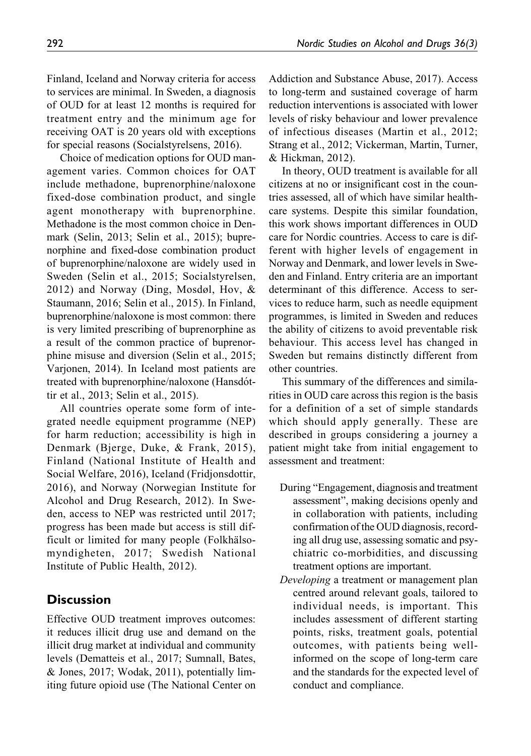Finland, Iceland and Norway criteria for access to services are minimal. In Sweden, a diagnosis of OUD for at least 12 months is required for treatment entry and the minimum age for receiving OAT is 20 years old with exceptions for special reasons (Socialstyrelsens, 2016).

Choice of medication options for OUD management varies. Common choices for OAT include methadone, buprenorphine/naloxone fixed-dose combination product, and single agent monotherapy with buprenorphine. Methadone is the most common choice in Denmark (Selin, 2013; Selin et al., 2015); buprenorphine and fixed-dose combination product of buprenorphine/naloxone are widely used in Sweden (Selin et al., 2015; Socialstyrelsen, 2012) and Norway (Ding, Mosdøl, Hov, & Staumann, 2016; Selin et al., 2015). In Finland, buprenorphine/naloxone is most common: there is very limited prescribing of buprenorphine as a result of the common practice of buprenorphine misuse and diversion (Selin et al., 2015; Varjonen, 2014). In Iceland most patients are treated with buprenorphine/naloxone (Hansdóttir et al., 2013; Selin et al., 2015).

All countries operate some form of integrated needle equipment programme (NEP) for harm reduction; accessibility is high in Denmark (Bjerge, Duke, & Frank, 2015), Finland (National Institute of Health and Social Welfare, 2016), Iceland (Fridjonsdottir, 2016), and Norway (Norwegian Institute for Alcohol and Drug Research, 2012). In Sweden, access to NEP was restricted until 2017; progress has been made but access is still difficult or limited for many people (Folkhälsomyndigheten, 2017; Swedish National Institute of Public Health, 2012).

### **Discussion**

Effective OUD treatment improves outcomes: it reduces illicit drug use and demand on the illicit drug market at individual and community levels (Dematteis et al., 2017; Sumnall, Bates, & Jones, 2017; Wodak, 2011), potentially limiting future opioid use (The National Center on Addiction and Substance Abuse, 2017). Access to long-term and sustained coverage of harm reduction interventions is associated with lower levels of risky behaviour and lower prevalence of infectious diseases (Martin et al., 2012; Strang et al., 2012; Vickerman, Martin, Turner, & Hickman, 2012).

In theory, OUD treatment is available for all citizens at no or insignificant cost in the countries assessed, all of which have similar healthcare systems. Despite this similar foundation, this work shows important differences in OUD care for Nordic countries. Access to care is different with higher levels of engagement in Norway and Denmark, and lower levels in Sweden and Finland. Entry criteria are an important determinant of this difference. Access to services to reduce harm, such as needle equipment programmes, is limited in Sweden and reduces the ability of citizens to avoid preventable risk behaviour. This access level has changed in Sweden but remains distinctly different from other countries.

This summary of the differences and similarities in OUD care across this region is the basis for a definition of a set of simple standards which should apply generally. These are described in groups considering a journey a patient might take from initial engagement to assessment and treatment:

- During "Engagement, diagnosis and treatment assessment", making decisions openly and in collaboration with patients, including confirmation of the OUD diagnosis, recording all drug use, assessing somatic and psychiatric co-morbidities, and discussing treatment options are important.
- Developing a treatment or management plan centred around relevant goals, tailored to individual needs, is important. This includes assessment of different starting points, risks, treatment goals, potential outcomes, with patients being wellinformed on the scope of long-term care and the standards for the expected level of conduct and compliance.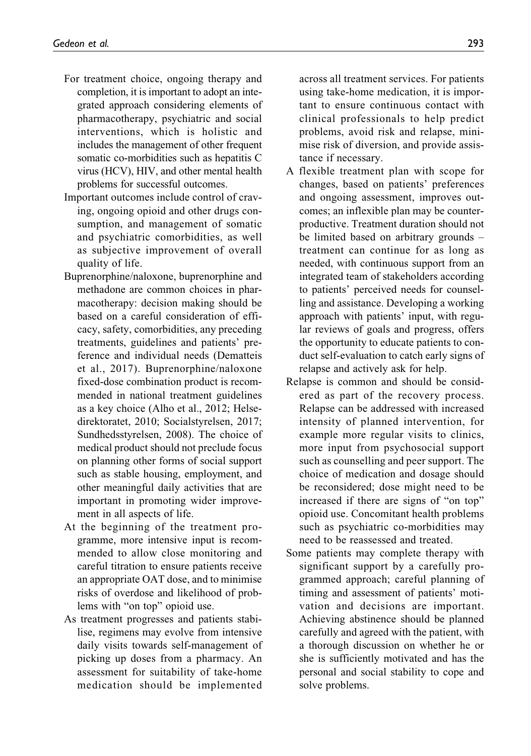- For treatment choice, ongoing therapy and completion, it is important to adopt an integrated approach considering elements of pharmacotherapy, psychiatric and social interventions, which is holistic and includes the management of other frequent somatic co-morbidities such as hepatitis C virus (HCV), HIV, and other mental health problems for successful outcomes.
- Important outcomes include control of craving, ongoing opioid and other drugs consumption, and management of somatic and psychiatric comorbidities, as well as subjective improvement of overall quality of life.
- Buprenorphine/naloxone, buprenorphine and methadone are common choices in pharmacotherapy: decision making should be based on a careful consideration of efficacy, safety, comorbidities, any preceding treatments, guidelines and patients' preference and individual needs (Dematteis et al., 2017). Buprenorphine/naloxone fixed-dose combination product is recommended in national treatment guidelines as a key choice (Alho et al., 2012; Helsedirektoratet, 2010; Socialstyrelsen, 2017; Sundhedsstyrelsen, 2008). The choice of medical product should not preclude focus on planning other forms of social support such as stable housing, employment, and other meaningful daily activities that are important in promoting wider improvement in all aspects of life.
- At the beginning of the treatment programme, more intensive input is recommended to allow close monitoring and careful titration to ensure patients receive an appropriate OAT dose, and to minimise risks of overdose and likelihood of problems with "on top" opioid use.
- As treatment progresses and patients stabilise, regimens may evolve from intensive daily visits towards self-management of picking up doses from a pharmacy. An assessment for suitability of take-home medication should be implemented

across all treatment services. For patients using take-home medication, it is important to ensure continuous contact with clinical professionals to help predict problems, avoid risk and relapse, minimise risk of diversion, and provide assistance if necessary.

- A flexible treatment plan with scope for changes, based on patients' preferences and ongoing assessment, improves outcomes; an inflexible plan may be counterproductive. Treatment duration should not be limited based on arbitrary grounds – treatment can continue for as long as needed, with continuous support from an integrated team of stakeholders according to patients' perceived needs for counselling and assistance. Developing a working approach with patients' input, with regular reviews of goals and progress, offers the opportunity to educate patients to conduct self-evaluation to catch early signs of relapse and actively ask for help.
- Relapse is common and should be considered as part of the recovery process. Relapse can be addressed with increased intensity of planned intervention, for example more regular visits to clinics, more input from psychosocial support such as counselling and peer support. The choice of medication and dosage should be reconsidered; dose might need to be increased if there are signs of "on top" opioid use. Concomitant health problems such as psychiatric co-morbidities may need to be reassessed and treated.
- Some patients may complete therapy with significant support by a carefully programmed approach; careful planning of timing and assessment of patients' motivation and decisions are important. Achieving abstinence should be planned carefully and agreed with the patient, with a thorough discussion on whether he or she is sufficiently motivated and has the personal and social stability to cope and solve problems.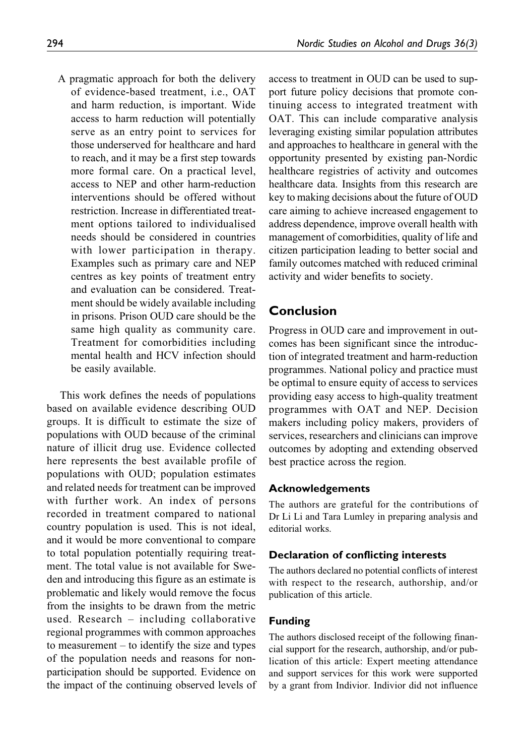A pragmatic approach for both the delivery of evidence-based treatment, i.e., OAT and harm reduction, is important. Wide access to harm reduction will potentially serve as an entry point to services for those underserved for healthcare and hard to reach, and it may be a first step towards more formal care. On a practical level, access to NEP and other harm-reduction interventions should be offered without restriction. Increase in differentiated treatment options tailored to individualised needs should be considered in countries with lower participation in therapy. Examples such as primary care and NEP centres as key points of treatment entry and evaluation can be considered. Treatment should be widely available including in prisons. Prison OUD care should be the same high quality as community care. Treatment for comorbidities including mental health and HCV infection should be easily available.

This work defines the needs of populations based on available evidence describing OUD groups. It is difficult to estimate the size of populations with OUD because of the criminal nature of illicit drug use. Evidence collected here represents the best available profile of populations with OUD; population estimates and related needs for treatment can be improved with further work. An index of persons recorded in treatment compared to national country population is used. This is not ideal, and it would be more conventional to compare to total population potentially requiring treatment. The total value is not available for Sweden and introducing this figure as an estimate is problematic and likely would remove the focus from the insights to be drawn from the metric used. Research – including collaborative regional programmes with common approaches to measurement – to identify the size and types of the population needs and reasons for nonparticipation should be supported. Evidence on the impact of the continuing observed levels of access to treatment in OUD can be used to support future policy decisions that promote continuing access to integrated treatment with OAT. This can include comparative analysis leveraging existing similar population attributes and approaches to healthcare in general with the opportunity presented by existing pan-Nordic healthcare registries of activity and outcomes healthcare data. Insights from this research are key to making decisions about the future of OUD care aiming to achieve increased engagement to address dependence, improve overall health with management of comorbidities, quality of life and citizen participation leading to better social and family outcomes matched with reduced criminal activity and wider benefits to society.

### Conclusion

Progress in OUD care and improvement in outcomes has been significant since the introduction of integrated treatment and harm-reduction programmes. National policy and practice must be optimal to ensure equity of access to services providing easy access to high-quality treatment programmes with OAT and NEP. Decision makers including policy makers, providers of services, researchers and clinicians can improve outcomes by adopting and extending observed best practice across the region.

#### Acknowledgements

The authors are grateful for the contributions of Dr Li Li and Tara Lumley in preparing analysis and editorial works.

#### Declaration of conflicting interests

The authors declared no potential conflicts of interest with respect to the research, authorship, and/or publication of this article.

#### Funding

The authors disclosed receipt of the following financial support for the research, authorship, and/or publication of this article: Expert meeting attendance and support services for this work were supported by a grant from Indivior. Indivior did not influence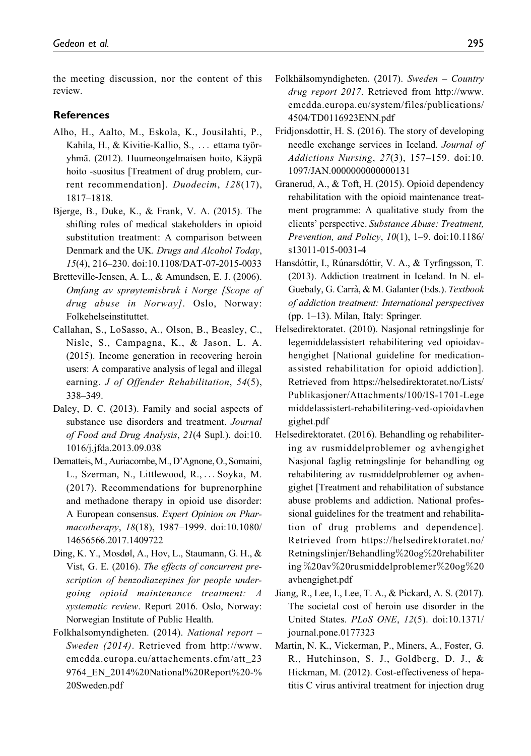the meeting discussion, nor the content of this review.

#### **References**

- Alho, H., Aalto, M., Eskola, K., Jousilahti, P., Kahila, H., & Kivitie-Kallio, S., ... ettama työryhmä. (2012). Huumeongelmaisen hoito, Käypä hoito -suositus [Treatment of drug problem, current recommendation]. Duodecim, 128(17), 1817–1818.
- Bjerge, B., Duke, K., & Frank, V. A. (2015). The shifting roles of medical stakeholders in opioid substitution treatment: A comparison between Denmark and the UK. Drugs and Alcohol Today, 15(4), 216–230. doi:10.1108/DAT-07-2015-0033
- Bretteville-Jensen, A. L., & Amundsen, E. J. (2006). Omfang av sprøytemisbruk i Norge [Scope of drug abuse in Norway]. Oslo, Norway: Folkehelseinstituttet.
- Callahan, S., LoSasso, A., Olson, B., Beasley, C., Nisle, S., Campagna, K., & Jason, L. A. (2015). Income generation in recovering heroin users: A comparative analysis of legal and illegal earning. *J of Offender Rehabilitation*, 54(5), 338–349.
- Daley, D. C. (2013). Family and social aspects of substance use disorders and treatment. Journal of Food and Drug Analysis, 21(4 Supl.). doi:10. 1016/j.jfda.2013.09.038
- Dematteis,M., Auriacombe,M., D'Agnone, O., Somaini, L., Szerman, N., Littlewood, R., ... Soyka, M. (2017). Recommendations for buprenorphine and methadone therapy in opioid use disorder: A European consensus. Expert Opinion on Pharmacotherapy, 18(18), 1987–1999. doi:10.1080/ 14656566.2017.1409722
- Ding, K. Y., Mosdøl, A., Hov, L., Staumann, G. H., & Vist, G. E. (2016). The effects of concurrent prescription of benzodiazepines for people undergoing opioid maintenance treatment: A systematic review. Report 2016. Oslo, Norway: Norwegian Institute of Public Health.
- Folkhalsomyndigheten. (2014). National report Sweden (2014). Retrieved from [http://www.](http://www.emcdda.europa.eu/attachements.cfm/att_239764_EN_2014%20National%20Report%20-%20Sweden.pdf) [emcdda.europa.eu/attachements.cfm/att\\_23](http://www.emcdda.europa.eu/attachements.cfm/att_239764_EN_2014%20National%20Report%20-%20Sweden.pdf) [9764\\_EN\\_2014%20National%20Report%20-%](http://www.emcdda.europa.eu/attachements.cfm/att_239764_EN_2014%20National%20Report%20-%20Sweden.pdf) [20Sweden.pdf](http://www.emcdda.europa.eu/attachements.cfm/att_239764_EN_2014%20National%20Report%20-%20Sweden.pdf)
- Folkhälsomyndigheten. (2017). Sweden Country drug report 2017. Retrieved from [http://www.](http://www.emcdda.europa.eu/system/files/publications/4504/TD0116923ENN.pdf) [emcdda.europa.eu/system/files/publications/](http://www.emcdda.europa.eu/system/files/publications/4504/TD0116923ENN.pdf) [4504/TD0116923ENN.pdf](http://www.emcdda.europa.eu/system/files/publications/4504/TD0116923ENN.pdf)
- Fridjonsdottir, H. S. (2016). The story of developing needle exchange services in Iceland. Journal of Addictions Nursing, 27(3), 157–159. doi:10. 1097/JAN.0000000000000131
- Granerud, A., & Toft, H. (2015). Opioid dependency rehabilitation with the opioid maintenance treatment programme: A qualitative study from the clients' perspective. Substance Abuse: Treatment, Prevention, and Policy, 10(1), 1–9. doi:10.1186/ s13011-015-0031-4
- Hansdóttir, I., Rúnarsdóttir, V. A., & Tyrfingsson, T. (2013). Addiction treatment in Iceland. In N. el-Guebaly, G. Carrà, & M. Galanter (Eds.). Textbook of addiction treatment: International perspectives (pp. 1–13). Milan, Italy: Springer.
- Helsedirektoratet. (2010). Nasjonal retningslinje for legemiddelassistert rehabilitering ved opioidavhengighet [National guideline for medicationassisted rehabilitation for opioid addiction]. Retrieved from [https://helsedirektoratet.no/Lists/](https://helsedirektoratet.no/Lists/Publikasjoner/Attachments/100/IS-1701-Legemiddelassistert-rehabilitering-ved-opioidavhengighet.pdf) [Publikasjoner/Attachments/100/IS-1701-Lege](https://helsedirektoratet.no/Lists/Publikasjoner/Attachments/100/IS-1701-Legemiddelassistert-rehabilitering-ved-opioidavhengighet.pdf) [middelassistert-rehabilitering-ved-opioidavhen](https://helsedirektoratet.no/Lists/Publikasjoner/Attachments/100/IS-1701-Legemiddelassistert-rehabilitering-ved-opioidavhengighet.pdf) [gighet.pdf](https://helsedirektoratet.no/Lists/Publikasjoner/Attachments/100/IS-1701-Legemiddelassistert-rehabilitering-ved-opioidavhengighet.pdf)
- Helsedirektoratet. (2016). Behandling og rehabilitering av rusmiddelproblemer og avhengighet Nasjonal faglig retningslinje for behandling og rehabilitering av rusmiddelproblemer og avhengighet [Treatment and rehabilitation of substance abuse problems and addiction. National professional guidelines for the treatment and rehabilitation of drug problems and dependence]. Retrieved from [https://helsedirektoratet.no/](https://helsedirektoratet.no/Retningslinjer/Behandling%20og%20rehabilitering%20av%20rusmiddelproblemer%20og%20avhengighet.pdf) [Retningslinjer/Behandling](https://helsedirektoratet.no/Retningslinjer/Behandling%20og%20rehabilitering%20av%20rusmiddelproblemer%20og%20avhengighet.pdf)%[20og](https://helsedirektoratet.no/Retningslinjer/Behandling%20og%20rehabilitering%20av%20rusmiddelproblemer%20og%20avhengighet.pdf)%[20rehabiliter](https://helsedirektoratet.no/Retningslinjer/Behandling%20og%20rehabilitering%20av%20rusmiddelproblemer%20og%20avhengighet.pdf) [ing](https://helsedirektoratet.no/Retningslinjer/Behandling%20og%20rehabilitering%20av%20rusmiddelproblemer%20og%20avhengighet.pdf) %[20av](https://helsedirektoratet.no/Retningslinjer/Behandling%20og%20rehabilitering%20av%20rusmiddelproblemer%20og%20avhengighet.pdf)%[20rusmiddelproblemer](https://helsedirektoratet.no/Retningslinjer/Behandling%20og%20rehabilitering%20av%20rusmiddelproblemer%20og%20avhengighet.pdf)%[20og](https://helsedirektoratet.no/Retningslinjer/Behandling%20og%20rehabilitering%20av%20rusmiddelproblemer%20og%20avhengighet.pdf)%[20](https://helsedirektoratet.no/Retningslinjer/Behandling%20og%20rehabilitering%20av%20rusmiddelproblemer%20og%20avhengighet.pdf) [avhengighet.pdf](https://helsedirektoratet.no/Retningslinjer/Behandling%20og%20rehabilitering%20av%20rusmiddelproblemer%20og%20avhengighet.pdf)
- Jiang, R., Lee, I., Lee, T. A., & Pickard, A. S. (2017). The societal cost of heroin use disorder in the United States. PLoS ONE, 12(5). doi:10.1371/ journal.pone.0177323
- Martin, N. K., Vickerman, P., Miners, A., Foster, G. R., Hutchinson, S. J., Goldberg, D. J., & Hickman, M. (2012). Cost-effectiveness of hepatitis C virus antiviral treatment for injection drug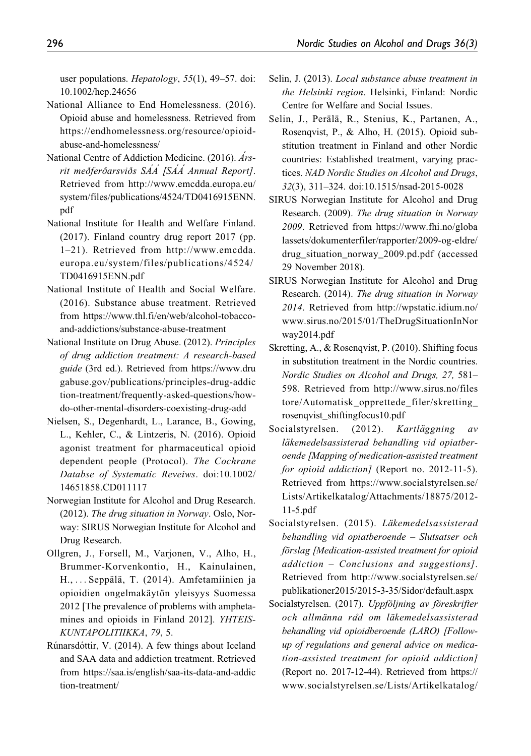user populations. Hepatology, 55(1), 49-57. doi: 10.1002/hep.24656

- National Alliance to End Homelessness. (2016). Opioid abuse and homelessness. Retrieved from [https://endhomelessness.org/resource/opioid](https://endhomelessness.org/resource/opioid-abuse-and-homelessness/)[abuse-and-homelessness/](https://endhomelessness.org/resource/opioid-abuse-and-homelessness/)
- National Centre of Addiction Medicine. (2016). Arsrit meðferðarsviðs SÁÁ [SÁÁ Annual Report]. Retrieved from [http://www.emcdda.europa.eu/](http://www.emcdda.europa.eu/system/files/publications/4524/TD0416915ENN.pdf) [system/files/publications/4524/TD0416915ENN.](http://www.emcdda.europa.eu/system/files/publications/4524/TD0416915ENN.pdf) [pdf](http://www.emcdda.europa.eu/system/files/publications/4524/TD0416915ENN.pdf)
- National Institute for Health and Welfare Finland. (2017). Finland country drug report 2017 (pp. 1–21). Retrieved from [http://www.emcdda.](http://www.emcdda.europa.eu/system/files/publications/4524/TD0416915ENN.pdf) [europa.eu/system/files/publications/4524/](http://www.emcdda.europa.eu/system/files/publications/4524/TD0416915ENN.pdf) [TD0416915ENN.pdf](http://www.emcdda.europa.eu/system/files/publications/4524/TD0416915ENN.pdf)
- National Institute of Health and Social Welfare. (2016). Substance abuse treatment. Retrieved from [https://www.thl.fi/en/web/alcohol-tobacco](https://www.thl.fi/en/web/alcohol-tobacco-and-addictions/substance-abuse-treatment)[and-addictions/substance-abuse-treatment](https://www.thl.fi/en/web/alcohol-tobacco-and-addictions/substance-abuse-treatment)
- National Institute on Drug Abuse. (2012). Principles of drug addiction treatment: A research-based guide (3rd ed.). Retrieved from [https://www.dru](https://www.drugabuse.gov/publications/principles-drug-addiction-treatment/frequently-asked-questions/how-do-other-mental-disorders-coexisting-drug-add) [gabuse.gov/publications/principles-drug-addic](https://www.drugabuse.gov/publications/principles-drug-addiction-treatment/frequently-asked-questions/how-do-other-mental-disorders-coexisting-drug-add) [tion-treatment/frequently-asked-questions/how](https://www.drugabuse.gov/publications/principles-drug-addiction-treatment/frequently-asked-questions/how-do-other-mental-disorders-coexisting-drug-add)[do-other-mental-disorders-coexisting-drug-add](https://www.drugabuse.gov/publications/principles-drug-addiction-treatment/frequently-asked-questions/how-do-other-mental-disorders-coexisting-drug-add)
- Nielsen, S., Degenhardt, L., Larance, B., Gowing, L., Kehler, C., & Lintzeris, N. (2016). Opioid agonist treatment for pharmaceutical opioid dependent people (Protocol). The Cochrane Databse of Systematic Reveiws. doi:10.1002/ 14651858.CD011117
- Norwegian Institute for Alcohol and Drug Research. (2012). The drug situation in Norway. Oslo, Norway: SIRUS Norwegian Institute for Alcohol and Drug Research.
- Ollgren, J., Forsell, M., Varjonen, V., Alho, H., Brummer-Korvenkontio, H., Kainulainen, H., ... Seppälä, T. (2014). Amfetamiinien ja opioidien ongelmakäytön yleisyys Suomessa 2012 [The prevalence of problems with amphetamines and opioids in Finland 2012]. YHTEIS-KUNTAPOLITIIKKA, 79, 5.
- Rúnarsdóttir, V. (2014). A few things about Iceland and SAA data and addiction treatment. Retrieved from [https://saa.is/english/saa-its-data-and-addic](https://saa.is/english/saa-its-data-and-addiction-treatment/) [tion-treatment/](https://saa.is/english/saa-its-data-and-addiction-treatment/)
- Selin, J. (2013). Local substance abuse treatment in the Helsinki region. Helsinki, Finland: Nordic Centre for Welfare and Social Issues.
- Selin, J., Perälä, R., Stenius, K., Partanen, A., Rosenqvist, P., & Alho, H. (2015). Opioid substitution treatment in Finland and other Nordic countries: Established treatment, varying practices. NAD Nordic Studies on Alcohol and Drugs, 32(3), 311–324. doi:10.1515/nsad-2015-0028
- SIRUS Norwegian Institute for Alcohol and Drug Research. (2009). The drug situation in Norway 2009. Retrieved from [https://www.fhi.no/globa](https://www.fhi.no/globalassets/dokumenterfiler/rapporter/2009-og-eldre/drug_situation_norway_2009.pd.pdf) [lassets/dokumenterfiler/rapporter/2009-og-eldre/](https://www.fhi.no/globalassets/dokumenterfiler/rapporter/2009-og-eldre/drug_situation_norway_2009.pd.pdf) [drug\\_situation\\_norway\\_2009.pd.pdf](https://www.fhi.no/globalassets/dokumenterfiler/rapporter/2009-og-eldre/drug_situation_norway_2009.pd.pdf) (accessed 29 November 2018).
- SIRUS Norwegian Institute for Alcohol and Drug Research. (2014). The drug situation in Norway 2014. Retrieved from [http://wpstatic.idium.no/](http://wpstatic.idium.no/www.sirus.no/2015/01/TheDrugSituationInNorway2014.pdf) [www.sirus.no/2015/01/TheDrugSituationInNor](http://wpstatic.idium.no/www.sirus.no/2015/01/TheDrugSituationInNorway2014.pdf) [way2014.pdf](http://wpstatic.idium.no/www.sirus.no/2015/01/TheDrugSituationInNorway2014.pdf)
- Skretting, A., & Rosenqvist, P. (2010). Shifting focus in substitution treatment in the Nordic countries. Nordic Studies on Alcohol and Drugs, 27, 581– 598. Retrieved from [http://www.sirus.no/files](http://www.sirus.no/filestore/Automatisk_opprettede_filer/skretting_rosenqvist_shiftingfocus10.pdf) [tore/Automatisk\\_opprettede\\_filer/skretting\\_](http://www.sirus.no/filestore/Automatisk_opprettede_filer/skretting_rosenqvist_shiftingfocus10.pdf) [rosenqvist\\_shiftingfocus10.pdf](http://www.sirus.no/filestore/Automatisk_opprettede_filer/skretting_rosenqvist_shiftingfocus10.pdf)
- Socialstyrelsen. (2012). Kartläggning av läkemedelsassisterad behandling vid opiatberoende [Mapping of medication-assisted treatment for opioid addiction] (Report no. 2012-11-5). Retrieved from [https://www.socialstyrelsen.se/](https://www.socialstyrelsen.se/Lists/Artikelkatalog/Attachments/18875/2012-11-5.pdf) [Lists/Artikelkatalog/Attachments/18875/2012-](https://www.socialstyrelsen.se/Lists/Artikelkatalog/Attachments/18875/2012-11-5.pdf) [11-5.pdf](https://www.socialstyrelsen.se/Lists/Artikelkatalog/Attachments/18875/2012-11-5.pdf)
- Socialstyrelsen. (2015). Läkemedelsassisterad behandling vid opiatberoende – Slutsatser och förslag [Medication-assisted treatment for opioid addiction – Conclusions and suggestions]. Retrieved from [http://www.socialstyrelsen.se/](http://www.socialstyrelsen.se/publikationer2015/2015-3-35/Sidor/default.aspx) [publikationer2015/2015-3-35/Sidor/default.aspx](http://www.socialstyrelsen.se/publikationer2015/2015-3-35/Sidor/default.aspx)
- Socialstyrelsen. (2017). Uppföljning av föreskrifter och allmänna råd om läkemedelsassisterad behandling vid opioidberoende (LARO) [Followup of regulations and general advice on medication-assisted treatment for opioid addiction] (Report no. 2017-12-44). Retrieved from [https://](https://www.socialstyrelsen.se/Lists/Artikelkatalog/Attachments/20805/2017-12-44.pdf) [www.socialstyrelsen.se/Lists/Artikelkatalog/](https://www.socialstyrelsen.se/Lists/Artikelkatalog/Attachments/20805/2017-12-44.pdf)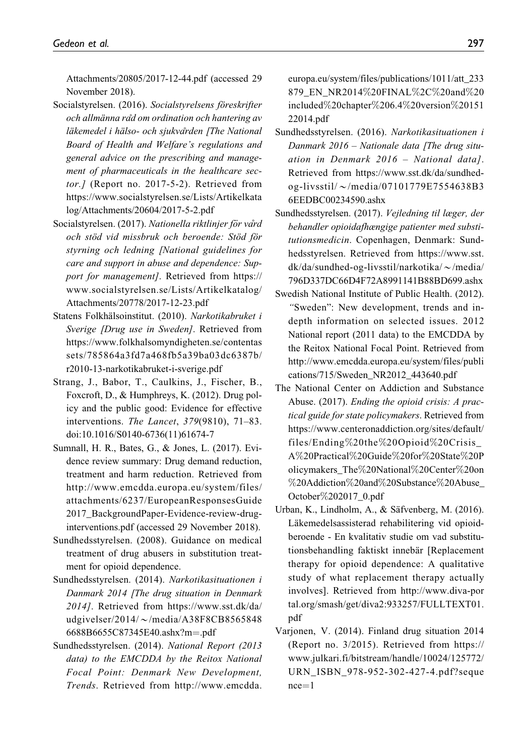[Attachments/20805/2017-12-44.pdf](https://www.socialstyrelsen.se/Lists/Artikelkatalog/Attachments/20805/2017-12-44.pdf) (accessed 29 November 2018).

- Socialstyrelsen. (2016). Socialstyrelsens föreskrifter och allmänna råd om ordination och hantering av läkemedel i hälso- och sjukvården [The National Board of Health and Welfare's regulations and general advice on the prescribing and management of pharmaceuticals in the healthcare sector.] (Report no. 2017-5-2). Retrieved from [https://www.socialstyrelsen.se/Lists/Artikelkata](https://www.socialstyrelsen.se/Lists/Artikelkatalog/Attachments/20604/2017-5-2.pdf) [log/Attachments/20604/2017-5-2.pdf](https://www.socialstyrelsen.se/Lists/Artikelkatalog/Attachments/20604/2017-5-2.pdf)
- Socialstyrelsen. (2017). Nationella riktlinjer för vård och stöd vid missbruk och beroende: Stöd för styrning och ledning [National guidelines for care and support in abuse and dependence: Support for management]. Retrieved from [https://](https://www.socialstyrelsen.se/Lists/Artikelkatalog/Attachments/20778/2017-12-23.pdf) [www.socialstyrelsen.se/Lists/Artikelkatalog/](https://www.socialstyrelsen.se/Lists/Artikelkatalog/Attachments/20778/2017-12-23.pdf) [Attachments/20778/2017-12-23.pdf](https://www.socialstyrelsen.se/Lists/Artikelkatalog/Attachments/20778/2017-12-23.pdf)
- Statens Folkhälsoinstitut. (2010). Narkotikabruket i Sverige [Drug use in Sweden]. Retrieved from [https://www.folkhalsomyndigheten.se/contentas](https://www.folkhalsomyndigheten.se/contentassets/785864a3fd7a468fb5a39ba03dc6387b/r2010-13-narkotikabruket-i-sverige.pdf) [sets/785864a3fd7a468fb5a39ba03dc6387b/](https://www.folkhalsomyndigheten.se/contentassets/785864a3fd7a468fb5a39ba03dc6387b/r2010-13-narkotikabruket-i-sverige.pdf) [r2010-13-narkotikabruket-i-sverige.pdf](https://www.folkhalsomyndigheten.se/contentassets/785864a3fd7a468fb5a39ba03dc6387b/r2010-13-narkotikabruket-i-sverige.pdf)
- Strang, J., Babor, T., Caulkins, J., Fischer, B., Foxcroft, D., & Humphreys, K. (2012). Drug policy and the public good: Evidence for effective interventions. The Lancet, 379(9810), 71–83. doi:10.1016/S0140-6736(11)61674-7
- Sumnall, H. R., Bates, G., & Jones, L. (2017). Evidence review summary: Drug demand reduction, treatment and harm reduction. Retrieved from [http://www.emcdda.europa.eu/system/files/](http://www.emcdda.europa.eu/system/files/attachments/6237/EuropeanResponsesGuide2017_BackgroundPaper-Evidence-review-drug-interventions.pdf) [attachments/6237/EuropeanResponsesGuide](http://www.emcdda.europa.eu/system/files/attachments/6237/EuropeanResponsesGuide2017_BackgroundPaper-Evidence-review-drug-interventions.pdf) [2017\\_BackgroundPaper-Evidence-review-drug](http://www.emcdda.europa.eu/system/files/attachments/6237/EuropeanResponsesGuide2017_BackgroundPaper-Evidence-review-drug-interventions.pdf)[interventions.pdf](http://www.emcdda.europa.eu/system/files/attachments/6237/EuropeanResponsesGuide2017_BackgroundPaper-Evidence-review-drug-interventions.pdf) (accessed 29 November 2018).
- Sundhedsstyrelsen. (2008). Guidance on medical treatment of drug abusers in substitution treatment for opioid dependence.
- Sundhedsstyrelsen. (2014). Narkotikasituationen i Danmark 2014 [The drug situation in Denmark 2014]. Retrieved from [https://www.sst.dk/da/](https://www.sst.dk/da/udgivelser/2014/~/media/A38F8CB85658486688B6655C87345E40.ashx?m=.pdf) [udgivelser/2014/](https://www.sst.dk/da/udgivelser/2014/~/media/A38F8CB85658486688B6655C87345E40.ashx?m=.pdf) $\sim$ [/media/A38F8CB8565848](https://www.sst.dk/da/udgivelser/2014/~/media/A38F8CB85658486688B6655C87345E40.ashx?m=.pdf) [6688B6655C87345E40.ashx?m](https://www.sst.dk/da/udgivelser/2014/~/media/A38F8CB85658486688B6655C87345E40.ashx?m=.pdf)=[.pdf](https://www.sst.dk/da/udgivelser/2014/~/media/A38F8CB85658486688B6655C87345E40.ashx?m=.pdf)
- Sundhedsstyrelsen. (2014). National Report (2013 data) to the EMCDDA by the Reitox National Focal Point: Denmark New Development, Trends. Retrieved from [http://www.emcdda.](http://www.emcdda.europa.eu/system/files/publications/1011/att_233879_EN_NR2014%20FINAL%2C%20and%20included%20chapter%206.4%20version%2015122014.pdf)

[europa.eu/system/files/publications/1011/att\\_233](http://www.emcdda.europa.eu/system/files/publications/1011/att_233879_EN_NR2014%20FINAL%2C%20and%20included%20chapter%206.4%20version%2015122014.pdf) [879\\_EN\\_NR2014](http://www.emcdda.europa.eu/system/files/publications/1011/att_233879_EN_NR2014%20FINAL%2C%20and%20included%20chapter%206.4%20version%2015122014.pdf)%[20FINAL](http://www.emcdda.europa.eu/system/files/publications/1011/att_233879_EN_NR2014%20FINAL%2C%20and%20included%20chapter%206.4%20version%2015122014.pdf)%[2C](http://www.emcdda.europa.eu/system/files/publications/1011/att_233879_EN_NR2014%20FINAL%2C%20and%20included%20chapter%206.4%20version%2015122014.pdf)%[20and](http://www.emcdda.europa.eu/system/files/publications/1011/att_233879_EN_NR2014%20FINAL%2C%20and%20included%20chapter%206.4%20version%2015122014.pdf)%[20](http://www.emcdda.europa.eu/system/files/publications/1011/att_233879_EN_NR2014%20FINAL%2C%20and%20included%20chapter%206.4%20version%2015122014.pdf) [included](http://www.emcdda.europa.eu/system/files/publications/1011/att_233879_EN_NR2014%20FINAL%2C%20and%20included%20chapter%206.4%20version%2015122014.pdf)%[20chapter](http://www.emcdda.europa.eu/system/files/publications/1011/att_233879_EN_NR2014%20FINAL%2C%20and%20included%20chapter%206.4%20version%2015122014.pdf)%[206.4](http://www.emcdda.europa.eu/system/files/publications/1011/att_233879_EN_NR2014%20FINAL%2C%20and%20included%20chapter%206.4%20version%2015122014.pdf)%[20version](http://www.emcdda.europa.eu/system/files/publications/1011/att_233879_EN_NR2014%20FINAL%2C%20and%20included%20chapter%206.4%20version%2015122014.pdf)%[20151](http://www.emcdda.europa.eu/system/files/publications/1011/att_233879_EN_NR2014%20FINAL%2C%20and%20included%20chapter%206.4%20version%2015122014.pdf) [22014.pdf](http://www.emcdda.europa.eu/system/files/publications/1011/att_233879_EN_NR2014%20FINAL%2C%20and%20included%20chapter%206.4%20version%2015122014.pdf)

- Sundhedsstyrelsen. (2016). Narkotikasituationen i Danmark 2016 – Nationale data [The drug situation in Denmark 2016 – National data]. Retrieved from [https://www.sst.dk/da/sundhed](https://www.sst.dk/da/sundhed-og-livsstil/~/media/07101779E7554638B36EEDBC00234590.ashx)[og-livsstil/](https://www.sst.dk/da/sundhed-og-livsstil/~/media/07101779E7554638B36EEDBC00234590.ashx) $\sim$ [/media/07101779E7554638B3](https://www.sst.dk/da/sundhed-og-livsstil/~/media/07101779E7554638B36EEDBC00234590.ashx) [6EEDBC00234590.ashx](https://www.sst.dk/da/sundhed-og-livsstil/~/media/07101779E7554638B36EEDBC00234590.ashx)
- Sundhedsstyrelsen. (2017). Vejledning til læger, der behandler opioidafhængige patienter med substitutionsmedicin. Copenhagen, Denmark: Sundhedsstyrelsen. Retrieved from [https://www.sst.](https://www.sst.dk/da/sundhed-og-livsstil/narkotika/~/media/796D337DC66D4F72A8991141B88BD699.ashx)  $dk/da/sundhed-og-livsstil/narkotika/~/media/$  $dk/da/sundhed-og-livsstil/narkotika/~/media/$  $dk/da/sundhed-og-livsstil/narkotika/~/media/$ [796D337DC66D4F72A8991141B88BD699.ashx](https://www.sst.dk/da/sundhed-og-livsstil/narkotika/~/media/796D337DC66D4F72A8991141B88BD699.ashx)
- Swedish National Institute of Public Health. (2012). "Sweden": New development, trends and indepth information on selected issues. 2012 National report (2011 data) to the EMCDDA by the Reitox National Focal Point. Retrieved from [http://www.emcdda.europa.eu/system/files/publi](http://www.emcdda.europa.eu/system/files/publications/715/Sweden_NR2012_443640.pdf) [cations/715/Sweden\\_NR2012\\_443640.pdf](http://www.emcdda.europa.eu/system/files/publications/715/Sweden_NR2012_443640.pdf)
- The National Center on Addiction and Substance Abuse. (2017). Ending the opioid crisis: A practical guide for state policymakers. Retrieved from [https://www.centeronaddiction.org/sites/default/](https://www.centeronaddiction.org/sites/default/files/Ending%20the%20Opioid%20Crisis_A%20Practical%20Guide%20for%20State%20Policymakers_The%20National%20Center%20on%20Addiction%20and%20Substance%20Abuse_October%202017_0.pdf) [files/Ending](https://www.centeronaddiction.org/sites/default/files/Ending%20the%20Opioid%20Crisis_A%20Practical%20Guide%20for%20State%20Policymakers_The%20National%20Center%20on%20Addiction%20and%20Substance%20Abuse_October%202017_0.pdf)%[20the](https://www.centeronaddiction.org/sites/default/files/Ending%20the%20Opioid%20Crisis_A%20Practical%20Guide%20for%20State%20Policymakers_The%20National%20Center%20on%20Addiction%20and%20Substance%20Abuse_October%202017_0.pdf)%[20Opioid](https://www.centeronaddiction.org/sites/default/files/Ending%20the%20Opioid%20Crisis_A%20Practical%20Guide%20for%20State%20Policymakers_The%20National%20Center%20on%20Addiction%20and%20Substance%20Abuse_October%202017_0.pdf)%[20Crisis\\_](https://www.centeronaddiction.org/sites/default/files/Ending%20the%20Opioid%20Crisis_A%20Practical%20Guide%20for%20State%20Policymakers_The%20National%20Center%20on%20Addiction%20and%20Substance%20Abuse_October%202017_0.pdf) [A](https://www.centeronaddiction.org/sites/default/files/Ending%20the%20Opioid%20Crisis_A%20Practical%20Guide%20for%20State%20Policymakers_The%20National%20Center%20on%20Addiction%20and%20Substance%20Abuse_October%202017_0.pdf)%[20Practical](https://www.centeronaddiction.org/sites/default/files/Ending%20the%20Opioid%20Crisis_A%20Practical%20Guide%20for%20State%20Policymakers_The%20National%20Center%20on%20Addiction%20and%20Substance%20Abuse_October%202017_0.pdf)%[20Guide](https://www.centeronaddiction.org/sites/default/files/Ending%20the%20Opioid%20Crisis_A%20Practical%20Guide%20for%20State%20Policymakers_The%20National%20Center%20on%20Addiction%20and%20Substance%20Abuse_October%202017_0.pdf)%[20for](https://www.centeronaddiction.org/sites/default/files/Ending%20the%20Opioid%20Crisis_A%20Practical%20Guide%20for%20State%20Policymakers_The%20National%20Center%20on%20Addiction%20and%20Substance%20Abuse_October%202017_0.pdf)%[20State](https://www.centeronaddiction.org/sites/default/files/Ending%20the%20Opioid%20Crisis_A%20Practical%20Guide%20for%20State%20Policymakers_The%20National%20Center%20on%20Addiction%20and%20Substance%20Abuse_October%202017_0.pdf)%[20P](https://www.centeronaddiction.org/sites/default/files/Ending%20the%20Opioid%20Crisis_A%20Practical%20Guide%20for%20State%20Policymakers_The%20National%20Center%20on%20Addiction%20and%20Substance%20Abuse_October%202017_0.pdf) [olicymakers\\_The](https://www.centeronaddiction.org/sites/default/files/Ending%20the%20Opioid%20Crisis_A%20Practical%20Guide%20for%20State%20Policymakers_The%20National%20Center%20on%20Addiction%20and%20Substance%20Abuse_October%202017_0.pdf)%[20National](https://www.centeronaddiction.org/sites/default/files/Ending%20the%20Opioid%20Crisis_A%20Practical%20Guide%20for%20State%20Policymakers_The%20National%20Center%20on%20Addiction%20and%20Substance%20Abuse_October%202017_0.pdf)%[20Center](https://www.centeronaddiction.org/sites/default/files/Ending%20the%20Opioid%20Crisis_A%20Practical%20Guide%20for%20State%20Policymakers_The%20National%20Center%20on%20Addiction%20and%20Substance%20Abuse_October%202017_0.pdf)%[20on](https://www.centeronaddiction.org/sites/default/files/Ending%20the%20Opioid%20Crisis_A%20Practical%20Guide%20for%20State%20Policymakers_The%20National%20Center%20on%20Addiction%20and%20Substance%20Abuse_October%202017_0.pdf) %[20Addiction](https://www.centeronaddiction.org/sites/default/files/Ending%20the%20Opioid%20Crisis_A%20Practical%20Guide%20for%20State%20Policymakers_The%20National%20Center%20on%20Addiction%20and%20Substance%20Abuse_October%202017_0.pdf)%[20and](https://www.centeronaddiction.org/sites/default/files/Ending%20the%20Opioid%20Crisis_A%20Practical%20Guide%20for%20State%20Policymakers_The%20National%20Center%20on%20Addiction%20and%20Substance%20Abuse_October%202017_0.pdf)%[20Substance](https://www.centeronaddiction.org/sites/default/files/Ending%20the%20Opioid%20Crisis_A%20Practical%20Guide%20for%20State%20Policymakers_The%20National%20Center%20on%20Addiction%20and%20Substance%20Abuse_October%202017_0.pdf)%[20Abuse\\_](https://www.centeronaddiction.org/sites/default/files/Ending%20the%20Opioid%20Crisis_A%20Practical%20Guide%20for%20State%20Policymakers_The%20National%20Center%20on%20Addiction%20and%20Substance%20Abuse_October%202017_0.pdf) [October](https://www.centeronaddiction.org/sites/default/files/Ending%20the%20Opioid%20Crisis_A%20Practical%20Guide%20for%20State%20Policymakers_The%20National%20Center%20on%20Addiction%20and%20Substance%20Abuse_October%202017_0.pdf)%[202017\\_0.pdf](https://www.centeronaddiction.org/sites/default/files/Ending%20the%20Opioid%20Crisis_A%20Practical%20Guide%20for%20State%20Policymakers_The%20National%20Center%20on%20Addiction%20and%20Substance%20Abuse_October%202017_0.pdf)
- Urban, K., Lindholm, A., & Säfvenberg, M. (2016). Läkemedelsassisterad rehabilitering vid opioidberoende - En kvalitativ studie om vad substitutionsbehandling faktiskt innebär [Replacement therapy for opioid dependence: A qualitative study of what replacement therapy actually involves]. Retrieved from [http://www.diva-por](http://www.diva-portal.org/smash/get/diva2:933257/FULLTEXT01.pdf) [tal.org/smash/get/diva2:933257/FULLTEXT01.](http://www.diva-portal.org/smash/get/diva2:933257/FULLTEXT01.pdf) [pdf](http://www.diva-portal.org/smash/get/diva2:933257/FULLTEXT01.pdf)
- Varjonen, V. (2014). Finland drug situation 2014 (Report no. 3/2015). Retrieved from [https://](https://www.julkari.fi/bitstream/handle/10024/125772/URN_ISBN_978-952-302-427-4.pdf?sequence=1) [www.julkari.fi/bitstream/handle/10024/125772/](https://www.julkari.fi/bitstream/handle/10024/125772/URN_ISBN_978-952-302-427-4.pdf?sequence=1) [URN\\_ISBN\\_978-952-302-427-4.pdf?seque](https://www.julkari.fi/bitstream/handle/10024/125772/URN_ISBN_978-952-302-427-4.pdf?sequence=1)  $nce=1$  $nce=1$  $nce=1$